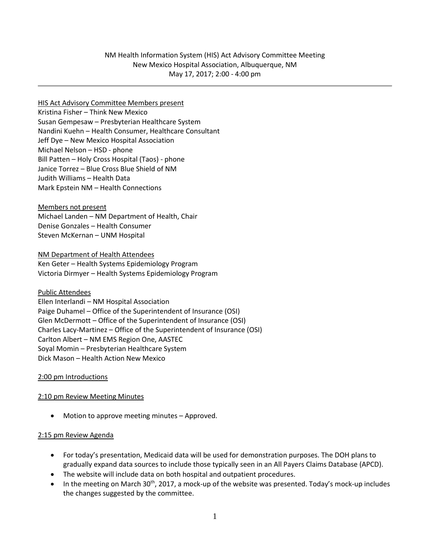# HIS Act Advisory Committee Members present Kristina Fisher – Think New Mexico Susan Gempesaw – Presbyterian Healthcare System Nandini Kuehn – Health Consumer, Healthcare Consultant Jeff Dye – New Mexico Hospital Association Michael Nelson – HSD - phone Bill Patten – Holy Cross Hospital (Taos) - phone Janice Torrez – Blue Cross Blue Shield of NM Judith Williams – Health Data Mark Epstein NM – Health Connections

Members not present Michael Landen – NM Department of Health, Chair Denise Gonzales – Health Consumer Steven McKernan – UNM Hospital

NM Department of Health Attendees Ken Geter – Health Systems Epidemiology Program Victoria Dirmyer – Health Systems Epidemiology Program

Public Attendees Ellen Interlandi – NM Hospital Association Paige Duhamel – Office of the Superintendent of Insurance (OSI) Glen McDermott – Office of the Superintendent of Insurance (OSI) Charles Lacy-Martinez – Office of the Superintendent of Insurance (OSI) Carlton Albert – NM EMS Region One, AASTEC Soyal Momin – Presbyterian Healthcare System Dick Mason – Health Action New Mexico

#### 2:00 pm Introductions

#### 2:10 pm Review Meeting Minutes

Motion to approve meeting minutes – Approved.

#### 2:15 pm Review Agenda

- For today's presentation, Medicaid data will be used for demonstration purposes. The DOH plans to gradually expand data sources to include those typically seen in an All Payers Claims Database (APCD).
- The website will include data on both hospital and outpatient procedures.
- In the meeting on March 30<sup>th</sup>, 2017, a mock-up of the website was presented. Today's mock-up includes the changes suggested by the committee.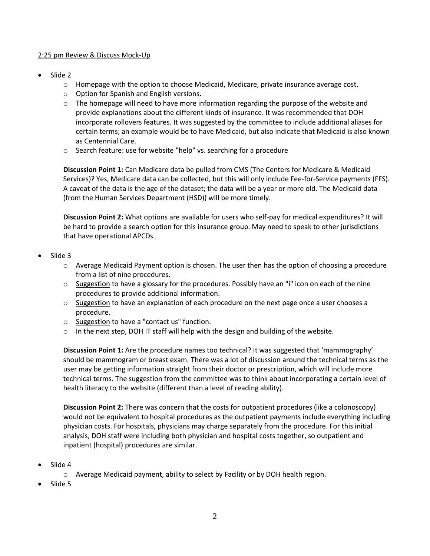### 2:25 pm Review & Discuss Mock-Up

- Slide 2
	- o Homepage with the option to choose Medicaid, Medicare, private insurance average cost.
	- o Option for Spanish and English versions.
	- $\circ$  The homepage will need to have more information regarding the purpose of the website and provide explanations about the different kinds of insurance. It was recommended that DOH incorporate rollovers features. It was suggested by the committee to include additional aliases for certain terms; an example would be to have Medicaid, but also indicate that Medicaid is also known as Centennial Care.
	- o Search feature: use for website "help" vs. searching for a procedure

**Discussion Point 1:** Can Medicare data be pulled from CMS (The Centers for Medicare & Medicaid Services)? Yes, Medicare data can be collected, but this will only include Fee-for-Service payments (FFS). A caveat of the data is the age of the dataset; the data will be a year or more old. The Medicaid data (from the Human Services Department (HSD)) will be more timely.

**Discussion Point 2:** What options are available for users who self-pay for medical expenditures? It will be hard to provide a search option for this insurance group. May need to speak to other jurisdictions that have operational APCDs.

- Slide 3
	- $\circ$  Average Medicaid Payment option is chosen. The user then has the option of choosing a procedure from a list of nine procedures.
	- $\circ$  Suggestion to have a glossary for the procedures. Possibly have an "i" icon on each of the nine procedures to provide additional information.
	- $\circ$  Suggestion to have an explanation of each procedure on the next page once a user chooses a procedure.
	- o Suggestion to have a "contact us" function.
	- $\circ$  In the next step, DOH IT staff will help with the design and building of the website.

**Discussion Point 1:** Are the procedure names too technical? It was suggested that 'mammography' should be mammogram or breast exam. There was a lot of discussion around the technical terms as the user may be getting information straight from their doctor or prescription, which will include more technical terms. The suggestion from the committee was to think about incorporating a certain level of health literacy to the website (different than a level of reading ability).

**Discussion Point 2:** There was concern that the costs for outpatient procedures (like a colonoscopy) would not be equivalent to hospital procedures as the outpatient payments include everything including physician costs. For hospitals, physicians may charge separately from the procedure. For this initial analysis, DOH staff were including both physician and hospital costs together, so outpatient and inpatient (hospital) procedures are similar.

- Slide 4
	- o Average Medicaid payment, ability to select by Facility or by DOH health region.
- Slide 5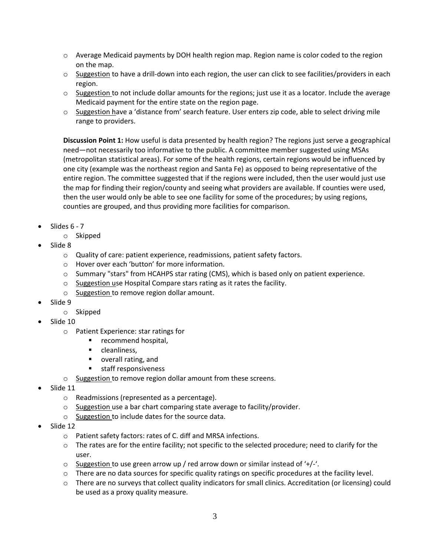- $\circ$  Average Medicaid payments by DOH health region map. Region name is color coded to the region on the map.
- $\circ$  Suggestion to have a drill-down into each region, the user can click to see facilities/providers in each region.
- $\circ$  Suggestion to not include dollar amounts for the regions; just use it as a locator. Include the average Medicaid payment for the entire state on the region page.
- o Suggestion have a 'distance from' search feature. User enters zip code, able to select driving mile range to providers.

**Discussion Point 1:** How useful is data presented by health region? The regions just serve a geographical need—not necessarily too informative to the public. A committee member suggested using MSAs (metropolitan statistical areas). For some of the health regions, certain regions would be influenced by one city (example was the northeast region and Santa Fe) as opposed to being representative of the entire region. The committee suggested that if the regions were included, then the user would just use the map for finding their region/county and seeing what providers are available. If counties were used, then the user would only be able to see one facility for some of the procedures; by using regions, counties are grouped, and thus providing more facilities for comparison.

- Slides 6 7
	- o Skipped
- Slide 8
	- o Quality of care: patient experience, readmissions, patient safety factors.
	- o Hover over each 'button' for more information.
	- o Summary "stars" from HCAHPS star rating (CMS), which is based only on patient experience.
	- o Suggestion use Hospital Compare stars rating as it rates the facility.
	- o Suggestion to remove region dollar amount.
- Slide 9
	- o Skipped
- Slide 10
	- o Patient Experience: star ratings for
		- **•** recommend hospital,
		- **•** cleanliness,
		- **•** overall rating, and
		- **staff responsiveness**
	- o Suggestion to remove region dollar amount from these screens.
- Slide 11
	- o Readmissions (represented as a percentage).
	- $\circ$  Suggestion use a bar chart comparing state average to facility/provider.
	- o Suggestion to include dates for the source data.
- Slide 12
	- o Patient safety factors: rates of C. diff and MRSA infections.
	- $\circ$  The rates are for the entire facility; not specific to the selected procedure; need to clarify for the user.
	- $\circ$  Suggestion to use green arrow up / red arrow down or similar instead of '+/-'.
	- $\circ$  There are no data sources for specific quality ratings on specific procedures at the facility level.
	- o There are no surveys that collect quality indicators for small clinics. Accreditation (or licensing) could be used as a proxy quality measure.